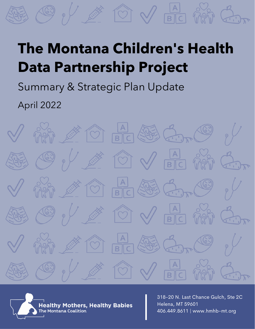# **The Montana Children's Health Data Partnership Project**

SE OVEO

Summary & Strategic Plan Update

April 2022



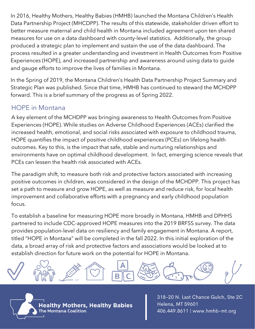In 2016, Healthy Mothers, Healthy Babies (HMHB) launched the Montana Children's Health Data Partnership Project (MHCDPP). The results of this statewide, stakeholder driven effort to better measure maternal and child health in Montana included agreement upon ten shared measures for use on a data dashboard with county-level statistics. Additionally, the group produced a strategic plan to implement and sustain the use of the data dashboard. The process resulted in a greater understanding and investment in Health Outcomes from Positive Experiences (HOPE), and increased partnership and awareness around using data to guide and gauge efforts to improve the lives of families in Montana.

In the Spring of 2019, the Montana Children's Health Data [Partnership](https://www.hmhb-mt.org/wp-content/uploads/2019/07/Designed-Data-Partnership-Document-FINAL.pdf) Project Summary and Strategic Plan was published. Since that time, HMHB has continued to steward the MCHDPP forward. This is a brief summary of the progress as of Spring 2022.

### HOPE in Montana

A key element of the MCHDPP was bringing awareness to Health Outcomes from Positive Experiences (HOPE). While studies on Adverse Childhood Experiences (ACEs) clarified the increased health, emotional, and social risks associated with exposure to childhood trauma, HOPE quantifies the impact of positive childhood experiences (PCEs) on lifelong health outcomes. Key to this, is the impact that safe, stable and nurturing relationships and environments have on optimal childhood development. In fact, emerging science reveals that PCEs can lessen the health risk associated with ACEs.

The paradigm shift, to measure both risk and protective factors associated with increasing positive outcomes in children, was considered in the design of the MCHDPP. This project has set a path to measure and grow HOPE, as well as measure and reduce risk, for local health improvement and collaborative efforts with a pregnancy and early childhood population focus.

To establish a baseline for measuring HOPE more broadly in Montana, HMHB and DPHHS partnered to include CDC-approved HOPE measures into the 2019 BRFSS survey. The data provides population-level data on resiliency and family engagement in Montana. A report, titled "HOPE in Montana" will be completed in the fall 2022. In this initial exploration of the data, a broad array of risk and protective factors and associations would be looked at to establish direction for future work on the potential for HOPE in Montana.



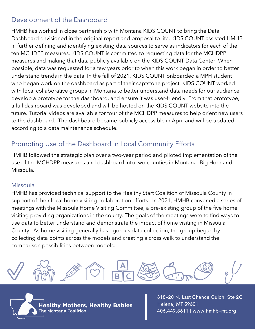## Development of the Dashboard

HMHB has worked in close partnership with Montana KIDS COUNT to bring the Data Dashboard envisioned in the original report and proposal to life. KIDS COUNT assisted HMHB in further defining and identifying existing data sources to serve as indicators for each of the ten MCHDPP measures. KIDS COUNT is committed to requesting data for the MCHDPP measures and making that data publicly available on the KIDS COUNT Data Center. When possible, data was requested for a few years prior to when this work began in order to better understand trends in the data. In the fall of 2021, KIDS COUNT onboarded a MPH student who began work on the dashboard as part of their captstone project. KIDS COUNT worked with local collaborative groups in Montana to better understand data needs for our audience, develop a prototype for the dashboard, and ensure it was user-friendly. From that prototype, a full dashboard was developed and will be hosted on the KIDS COUNT website into the future. Tutorial videos are available for four of the MCHDPP measures to help orient new users to the dashboard. The dashboard became publicly accessible in April and will be updated according to a data maintenance schedule.

# Promoting Use of the Dashboard in Local Community Efforts

HMHB followed the strategic plan over a two-year period and piloted implementation of the use of the MCHDPP measures and dashboard into two counties in Montana: Big Horn and Missoula.

#### Missoula

HMHB has provided technical support to the Healthy Start Coalition of Missoula County in support of their local home visiting collaboration efforts. In 2021, HMHB convened a series of meetings with the Missoula Home Visiting Committee, a pre-existing group of the five home visiting providing organizations in the county. The goals of the meetings were to find ways to use data to better understand and demonstrate the impact of home visiting in Missoula County. As home visiting generally has rigorous data collection, the group began by collecting data points across the models and creating a cross walk to understand the comparison possibilities between models.



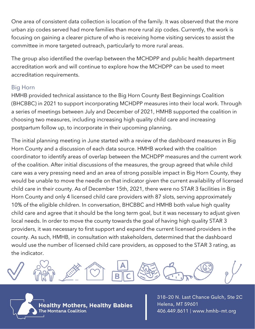One area of consistent data collection is location of the family. It was observed that the more urban zip codes served had more families than more rural zip codes. Currently, the work is focusing on gaining a clearer picture of who is receiving home visiting services to assist the committee in more targeted outreach, particularly to more rural areas.

The group also identified the overlap between the MCHDPP and public health department accreditation work and will continue to explore how the MCHDPP can be used to meet accreditation requirements.

#### Big Horn

HMHB provided technical assistance to the Big Horn County Best Beginnings Coalition (BHCBBC) in 2021 to support incorporating MCHDPP measures into their local work. Through a series of meetings between July and December of 2021, HMHB supported the coalition in choosing two measures, including increasing high quality child care and increasing postpartum follow up, to incorporate in their upcoming planning.

The initial planning meeting in June started with a review of the dashboard measures in Big Horn County and a discussion of each data source. HMHB worked with the coalition coordinator to identify areas of overlap between the MCHDPP measures and the current work of the coalition. After initial discussions of the measures, the group agreed that while child care was a very pressing need and an area of strong possible impact in Big Horn County, they would be unable to move the needle on that indicator given the current availability of licensed child care in their county. As of December 15th, 2021, there were no STAR 3 facilities in Big Horn County and only 4 licensed child care providers with 87 slots, serving approximately 10% of the eligible children. In conversation, BHCBBC and HMHB both value high quality child care and agree that it should be the long term goal, but it was necessary to adjust given local needs. In order to move the county towards the goal of having high quality STAR 3 providers, it was necessary to first support and expand the current licensed providers in the county. As such, HMHB, in consultation with stakeholders, determined that the dashboard would use the number of licensed child care providers, as opposed to the STAR 3 rating, as the indicator.